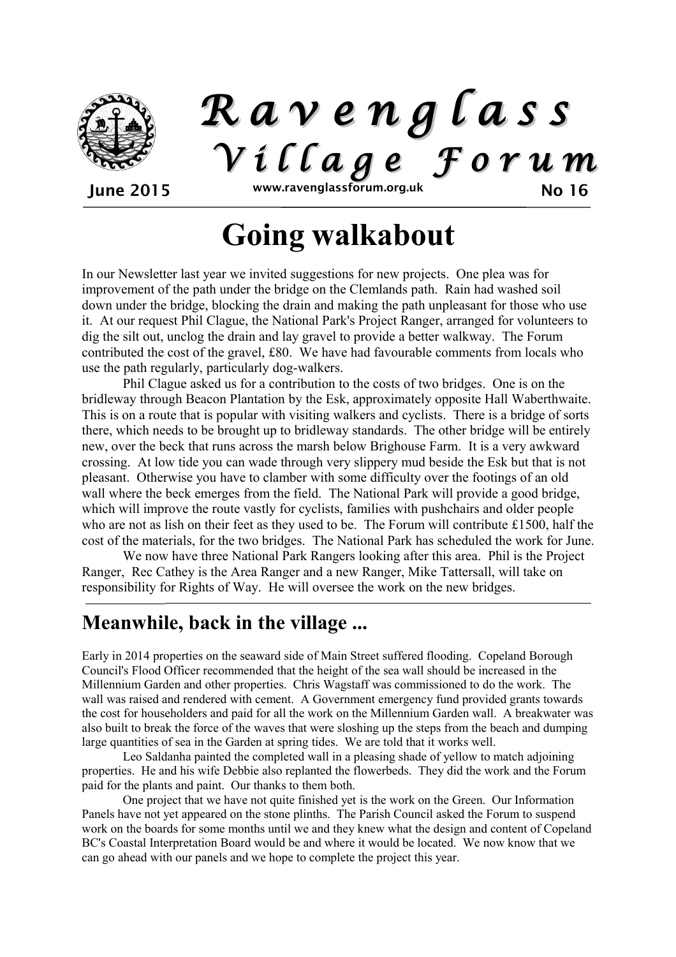

*R a v e n g l a s s V i l l a g e F o r u m*

June 2015 www.ravenglassforum.org.uk No 16

# **Going walkabout**

In our Newsletter last year we invited suggestions for new projects. One plea was for improvement of the path under the bridge on the Clemlands path. Rain had washed soil down under the bridge, blocking the drain and making the path unpleasant for those who use it. At our request Phil Clague, the National Park's Project Ranger, arranged for volunteers to dig the silt out, unclog the drain and lay gravel to provide a better walkway. The Forum contributed the cost of the gravel, £80. We have had favourable comments from locals who use the path regularly, particularly dog-walkers.

Phil Clague asked us for a contribution to the costs of two bridges. One is on the bridleway through Beacon Plantation by the Esk, approximately opposite Hall Waberthwaite. This is on a route that is popular with visiting walkers and cyclists. There is a bridge of sorts there, which needs to be brought up to bridleway standards. The other bridge will be entirely new, over the beck that runs across the marsh below Brighouse Farm. It is a very awkward crossing. At low tide you can wade through very slippery mud beside the Esk but that is not pleasant. Otherwise you have to clamber with some difficulty over the footings of an old wall where the beck emerges from the field. The National Park will provide a good bridge, which will improve the route vastly for cyclists, families with pushchairs and older people who are not as lish on their feet as they used to be. The Forum will contribute £1500, half the cost of the materials, for the two bridges. The National Park has scheduled the work for June.

We now have three National Park Rangers looking after this area. Phil is the Project Ranger, Rec Cathey is the Area Ranger and a new Ranger, Mike Tattersall, will take on responsibility for Rights of Way. He will oversee the work on the new bridges.

### **Meanwhile, back in the village ...**

Early in 2014 properties on the seaward side of Main Street suffered flooding. Copeland Borough Council's Flood Officer recommended that the height of the sea wall should be increased in the Millennium Garden and other properties. Chris Wagstaff was commissioned to do the work. The wall was raised and rendered with cement. A Government emergency fund provided grants towards the cost for householders and paid for all the work on the Millennium Garden wall. A breakwater was also built to break the force of the waves that were sloshing up the steps from the beach and dumping large quantities of sea in the Garden at spring tides. We are told that it works well.

Leo Saldanha painted the completed wall in a pleasing shade of yellow to match adjoining properties. He and his wife Debbie also replanted the flowerbeds. They did the work and the Forum paid for the plants and paint. Our thanks to them both.

One project that we have not quite finished yet is the work on the Green. Our Information Panels have not yet appeared on the stone plinths. The Parish Council asked the Forum to suspend work on the boards for some months until we and they knew what the design and content of Copeland BC's Coastal Interpretation Board would be and where it would be located. We now know that we can go ahead with our panels and we hope to complete the project this year.